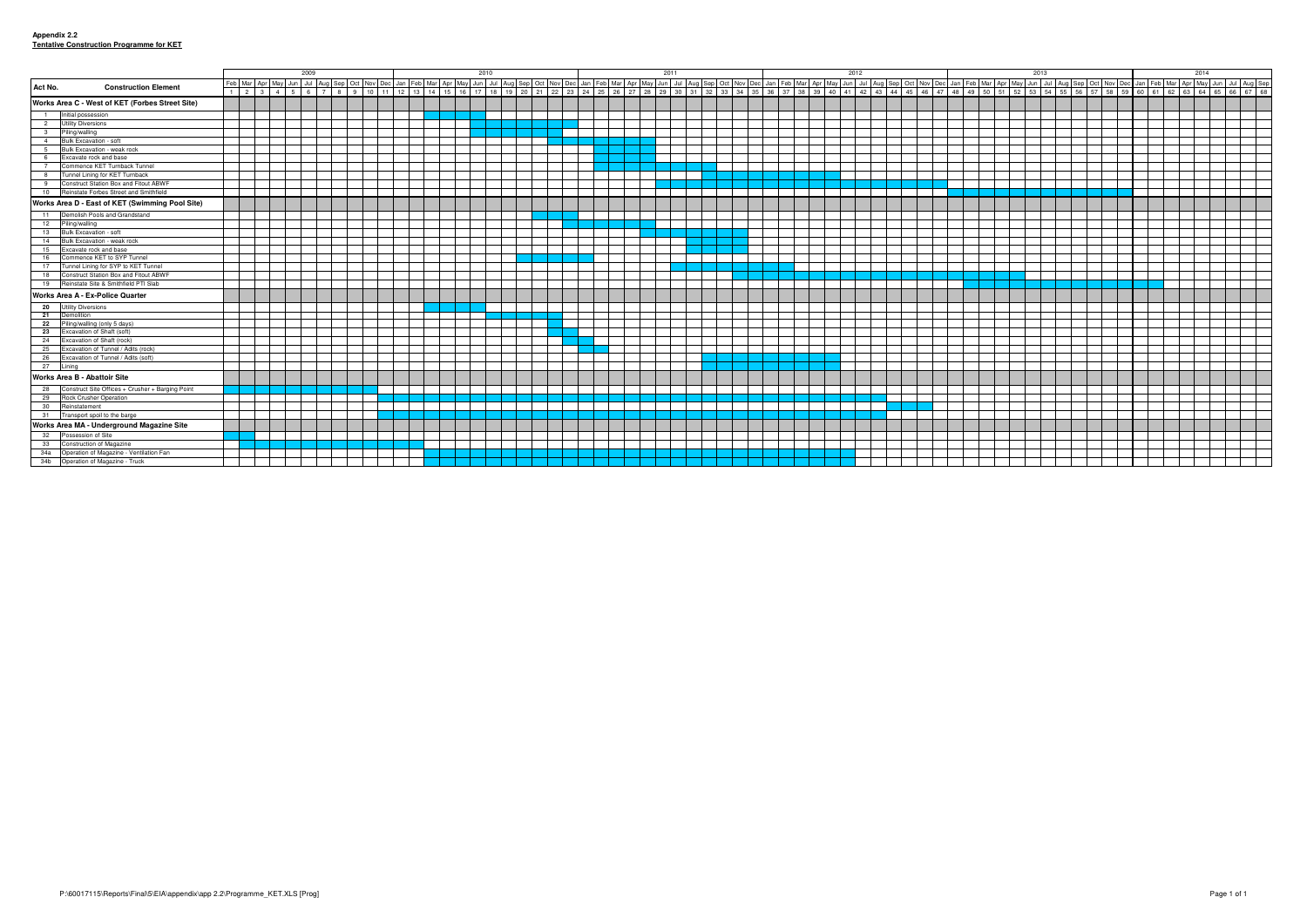|                         |                                                  | 2009 |  |  |  |                             |  |  | 2010 |  |  |  |  | 2011 |  |  |  |  | 2012 |  |  |  |  |  | 2013 |  |  |  |  |  | 2014 |                                                                                                                                                                                                                             |  |  |  |  |  |                 |
|-------------------------|--------------------------------------------------|------|--|--|--|-----------------------------|--|--|------|--|--|--|--|------|--|--|--|--|------|--|--|--|--|--|------|--|--|--|--|--|------|-----------------------------------------------------------------------------------------------------------------------------------------------------------------------------------------------------------------------------|--|--|--|--|--|-----------------|
| Act No.                 | <b>Construction Element</b>                      |      |  |  |  |                             |  |  |      |  |  |  |  |      |  |  |  |  |      |  |  |  |  |  |      |  |  |  |  |  |      | Feb   Mar   Apr   May   Jun   Jul   Aug   Sep   Oct   Nov   Dec   Jan   Feb   Mar   Apr   May   Jun   Aug   Sep   Oct   Nov   Dec   Jan   Feb   Mar   Apr   May   Jun   Jul   Aug   Sep   Oct   Nov   Dec   Jan   Feb   Mar |  |  |  |  |  | Jun Jul Aug Sep |
|                         |                                                  |      |  |  |  | $1 \ 2 \ 3 \ 4 \ 5 \ 6 \ 7$ |  |  |      |  |  |  |  |      |  |  |  |  |      |  |  |  |  |  |      |  |  |  |  |  |      |                                                                                                                                                                                                                             |  |  |  |  |  |                 |
|                         | Works Area C - West of KET (Forbes Street Site)  |      |  |  |  |                             |  |  |      |  |  |  |  |      |  |  |  |  |      |  |  |  |  |  |      |  |  |  |  |  |      |                                                                                                                                                                                                                             |  |  |  |  |  |                 |
| $-1$                    | Initial possession                               |      |  |  |  |                             |  |  |      |  |  |  |  |      |  |  |  |  |      |  |  |  |  |  |      |  |  |  |  |  |      |                                                                                                                                                                                                                             |  |  |  |  |  |                 |
| $\overline{2}$          | <b>Utility Diversions</b>                        |      |  |  |  |                             |  |  |      |  |  |  |  |      |  |  |  |  |      |  |  |  |  |  |      |  |  |  |  |  |      |                                                                                                                                                                                                                             |  |  |  |  |  |                 |
| $\overline{\mathbf{3}}$ | Piling/walling                                   |      |  |  |  |                             |  |  |      |  |  |  |  |      |  |  |  |  |      |  |  |  |  |  |      |  |  |  |  |  |      |                                                                                                                                                                                                                             |  |  |  |  |  |                 |
| $\overline{4}$          | Bulk Excavation - soft                           |      |  |  |  |                             |  |  |      |  |  |  |  |      |  |  |  |  |      |  |  |  |  |  |      |  |  |  |  |  |      |                                                                                                                                                                                                                             |  |  |  |  |  |                 |
| $5^{\circ}$             | Bulk Excavation - weak rock                      |      |  |  |  |                             |  |  |      |  |  |  |  |      |  |  |  |  |      |  |  |  |  |  |      |  |  |  |  |  |      |                                                                                                                                                                                                                             |  |  |  |  |  |                 |
| 6 <sup>6</sup>          | Excavate rock and base                           |      |  |  |  |                             |  |  |      |  |  |  |  |      |  |  |  |  |      |  |  |  |  |  |      |  |  |  |  |  |      |                                                                                                                                                                                                                             |  |  |  |  |  |                 |
| $\overline{7}$          | Commence KET Turnback Tunnel                     |      |  |  |  |                             |  |  |      |  |  |  |  |      |  |  |  |  |      |  |  |  |  |  |      |  |  |  |  |  |      |                                                                                                                                                                                                                             |  |  |  |  |  |                 |
| 8 <sup>1</sup>          | Tunnel Lining for KET Turnback                   |      |  |  |  |                             |  |  |      |  |  |  |  |      |  |  |  |  |      |  |  |  |  |  |      |  |  |  |  |  |      |                                                                                                                                                                                                                             |  |  |  |  |  |                 |
| 9                       | Construct Station Box and Fitout ABWF            |      |  |  |  |                             |  |  |      |  |  |  |  |      |  |  |  |  |      |  |  |  |  |  |      |  |  |  |  |  |      |                                                                                                                                                                                                                             |  |  |  |  |  |                 |
|                         | 10 Reinstate Forbes Street and Smithfield        |      |  |  |  |                             |  |  |      |  |  |  |  |      |  |  |  |  |      |  |  |  |  |  |      |  |  |  |  |  |      |                                                                                                                                                                                                                             |  |  |  |  |  |                 |
|                         | Works Area D - East of KET (Swimming Pool Site)  |      |  |  |  |                             |  |  |      |  |  |  |  |      |  |  |  |  |      |  |  |  |  |  |      |  |  |  |  |  |      |                                                                                                                                                                                                                             |  |  |  |  |  |                 |
| 11                      | Demolish Pools and Grandstand                    |      |  |  |  |                             |  |  |      |  |  |  |  |      |  |  |  |  |      |  |  |  |  |  |      |  |  |  |  |  |      |                                                                                                                                                                                                                             |  |  |  |  |  |                 |
| 12                      | Piling/walling                                   |      |  |  |  |                             |  |  |      |  |  |  |  |      |  |  |  |  |      |  |  |  |  |  |      |  |  |  |  |  |      |                                                                                                                                                                                                                             |  |  |  |  |  |                 |
| 13                      | Bulk Excavation - soft                           |      |  |  |  |                             |  |  |      |  |  |  |  |      |  |  |  |  |      |  |  |  |  |  |      |  |  |  |  |  |      |                                                                                                                                                                                                                             |  |  |  |  |  |                 |
| 14                      | Bulk Excavation - weak rock                      |      |  |  |  |                             |  |  |      |  |  |  |  |      |  |  |  |  |      |  |  |  |  |  |      |  |  |  |  |  |      |                                                                                                                                                                                                                             |  |  |  |  |  |                 |
| 15                      | Excavate rock and base                           |      |  |  |  |                             |  |  |      |  |  |  |  |      |  |  |  |  |      |  |  |  |  |  |      |  |  |  |  |  |      |                                                                                                                                                                                                                             |  |  |  |  |  |                 |
| 16                      | Commence KET to SYP Tunnel                       |      |  |  |  |                             |  |  |      |  |  |  |  |      |  |  |  |  |      |  |  |  |  |  |      |  |  |  |  |  |      |                                                                                                                                                                                                                             |  |  |  |  |  |                 |
| 17                      | Tunnel Lining for SYP to KET Tunnel              |      |  |  |  |                             |  |  |      |  |  |  |  |      |  |  |  |  |      |  |  |  |  |  |      |  |  |  |  |  |      |                                                                                                                                                                                                                             |  |  |  |  |  |                 |
|                         | 18 Construct Station Box and Fitout ABWF         |      |  |  |  |                             |  |  |      |  |  |  |  |      |  |  |  |  |      |  |  |  |  |  |      |  |  |  |  |  |      |                                                                                                                                                                                                                             |  |  |  |  |  |                 |
|                         | 19 Reinstate Site & Smithfield PTI Slab          |      |  |  |  |                             |  |  |      |  |  |  |  |      |  |  |  |  |      |  |  |  |  |  |      |  |  |  |  |  |      |                                                                                                                                                                                                                             |  |  |  |  |  |                 |
|                         | Works Area A - Ex-Police Quarter                 |      |  |  |  |                             |  |  |      |  |  |  |  |      |  |  |  |  |      |  |  |  |  |  |      |  |  |  |  |  |      |                                                                                                                                                                                                                             |  |  |  |  |  |                 |
| 20                      | <b>Utility Diversions</b>                        |      |  |  |  |                             |  |  |      |  |  |  |  |      |  |  |  |  |      |  |  |  |  |  |      |  |  |  |  |  |      |                                                                                                                                                                                                                             |  |  |  |  |  |                 |
| 21                      | Demolition                                       |      |  |  |  |                             |  |  |      |  |  |  |  |      |  |  |  |  |      |  |  |  |  |  |      |  |  |  |  |  |      |                                                                                                                                                                                                                             |  |  |  |  |  |                 |
| 22                      | Piling/walling (only 5 days)                     |      |  |  |  |                             |  |  |      |  |  |  |  |      |  |  |  |  |      |  |  |  |  |  |      |  |  |  |  |  |      |                                                                                                                                                                                                                             |  |  |  |  |  |                 |
| 23                      | Excavation of Shaft (soft)                       |      |  |  |  |                             |  |  |      |  |  |  |  |      |  |  |  |  |      |  |  |  |  |  |      |  |  |  |  |  |      |                                                                                                                                                                                                                             |  |  |  |  |  |                 |
| 24                      | Excavation of Shaft (rock)                       |      |  |  |  |                             |  |  |      |  |  |  |  |      |  |  |  |  |      |  |  |  |  |  |      |  |  |  |  |  |      |                                                                                                                                                                                                                             |  |  |  |  |  |                 |
| 25                      | Excavation of Tunnel / Adits (rock)              |      |  |  |  |                             |  |  |      |  |  |  |  |      |  |  |  |  |      |  |  |  |  |  |      |  |  |  |  |  |      |                                                                                                                                                                                                                             |  |  |  |  |  |                 |
| 26                      | Excavation of Tunnel / Adits (soft)              |      |  |  |  |                             |  |  |      |  |  |  |  |      |  |  |  |  |      |  |  |  |  |  |      |  |  |  |  |  |      |                                                                                                                                                                                                                             |  |  |  |  |  |                 |
| 27                      | Linina                                           |      |  |  |  |                             |  |  |      |  |  |  |  |      |  |  |  |  |      |  |  |  |  |  |      |  |  |  |  |  |      |                                                                                                                                                                                                                             |  |  |  |  |  |                 |
|                         | Works Area B - Abattoir Site                     |      |  |  |  |                             |  |  |      |  |  |  |  |      |  |  |  |  |      |  |  |  |  |  |      |  |  |  |  |  |      |                                                                                                                                                                                                                             |  |  |  |  |  |                 |
| 28                      | Construct Site Offices + Crusher + Barging Point |      |  |  |  |                             |  |  |      |  |  |  |  |      |  |  |  |  |      |  |  |  |  |  |      |  |  |  |  |  |      |                                                                                                                                                                                                                             |  |  |  |  |  |                 |
| 29                      | <b>Rock Crusher Operation</b>                    |      |  |  |  |                             |  |  |      |  |  |  |  |      |  |  |  |  |      |  |  |  |  |  |      |  |  |  |  |  |      |                                                                                                                                                                                                                             |  |  |  |  |  |                 |
| 30                      | Reinstatement                                    |      |  |  |  |                             |  |  |      |  |  |  |  |      |  |  |  |  |      |  |  |  |  |  |      |  |  |  |  |  |      |                                                                                                                                                                                                                             |  |  |  |  |  |                 |
|                         | 31 Transport spoil to the barge                  |      |  |  |  |                             |  |  |      |  |  |  |  |      |  |  |  |  |      |  |  |  |  |  |      |  |  |  |  |  |      |                                                                                                                                                                                                                             |  |  |  |  |  |                 |
|                         | Works Area MA - Underground Magazine Site        |      |  |  |  |                             |  |  |      |  |  |  |  |      |  |  |  |  |      |  |  |  |  |  |      |  |  |  |  |  |      |                                                                                                                                                                                                                             |  |  |  |  |  |                 |
| 32                      | Possession of Site                               |      |  |  |  |                             |  |  |      |  |  |  |  |      |  |  |  |  |      |  |  |  |  |  |      |  |  |  |  |  |      |                                                                                                                                                                                                                             |  |  |  |  |  |                 |
| 33                      | Construction of Magazine                         |      |  |  |  |                             |  |  |      |  |  |  |  |      |  |  |  |  |      |  |  |  |  |  |      |  |  |  |  |  |      |                                                                                                                                                                                                                             |  |  |  |  |  |                 |
| 34a                     | Operation of Magazine - Ventilation Fan          |      |  |  |  |                             |  |  |      |  |  |  |  |      |  |  |  |  |      |  |  |  |  |  |      |  |  |  |  |  |      |                                                                                                                                                                                                                             |  |  |  |  |  |                 |
|                         | 34b Operation of Magazine - Truck                |      |  |  |  |                             |  |  |      |  |  |  |  |      |  |  |  |  |      |  |  |  |  |  |      |  |  |  |  |  |      |                                                                                                                                                                                                                             |  |  |  |  |  |                 |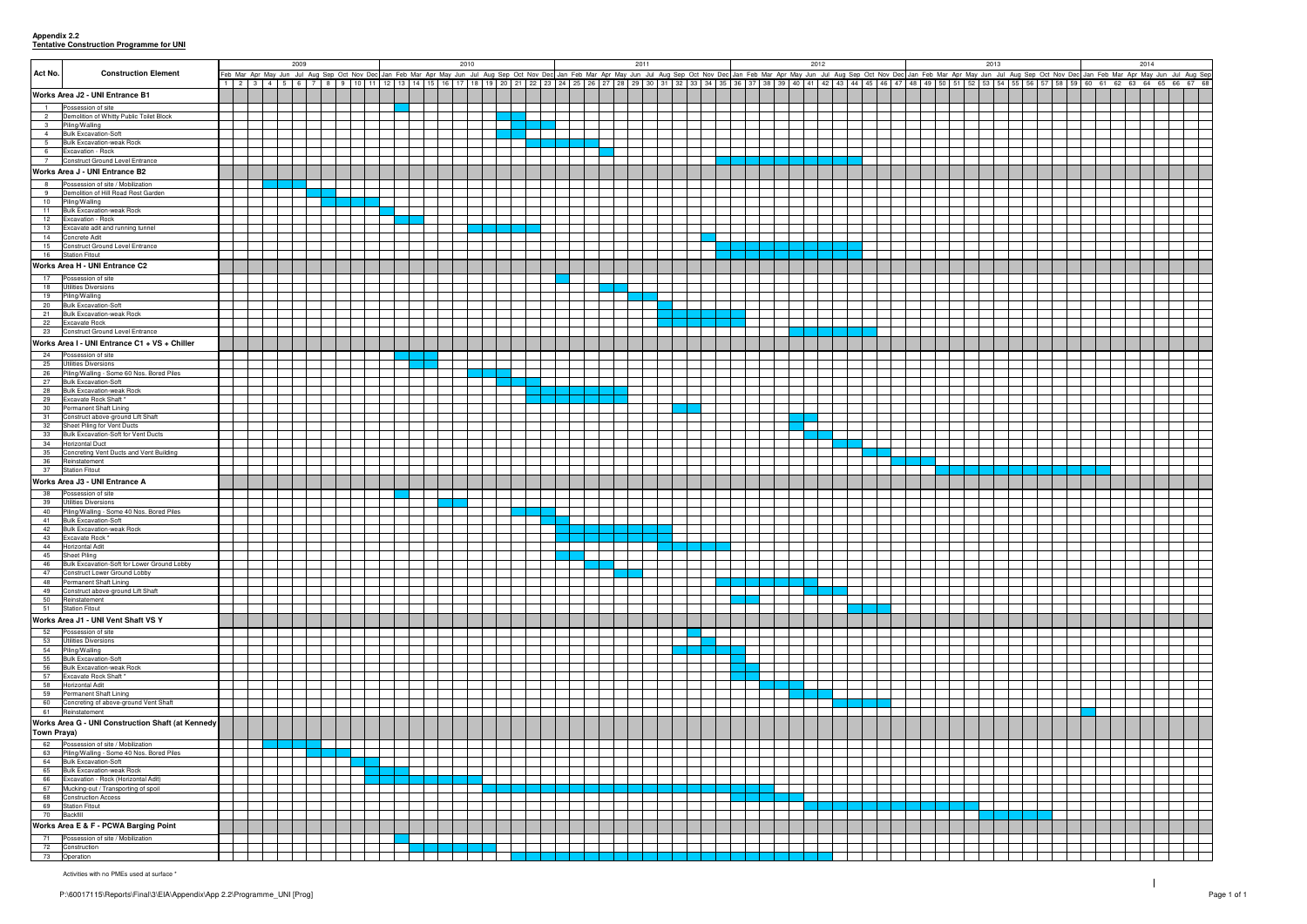**Appendix 2.2 Tentative Construction Programme for UNI**

|                    |                                                                             | 2009 |  |  |  | 2010 |  |  |  |  |  | 2011 |                                                                                                                                                                                                                                |  |  |                                                                                                                                                                                                    | 2012 |  |  |  |  |  | 2013 |  |  |  |  |  | 2014 |  |  |  |  |  |
|--------------------|-----------------------------------------------------------------------------|------|--|--|--|------|--|--|--|--|--|------|--------------------------------------------------------------------------------------------------------------------------------------------------------------------------------------------------------------------------------|--|--|----------------------------------------------------------------------------------------------------------------------------------------------------------------------------------------------------|------|--|--|--|--|--|------|--|--|--|--|--|------|--|--|--|--|--|
| Act No.            | <b>Construction Element</b>                                                 |      |  |  |  |      |  |  |  |  |  |      | Feb Mar Apr May Jun Jul Aug Sep Oct Nov Dec Jan Feb Mar Apr May Jun Jul Aug Sep Oct Nov Dec Jan Feb Mar Apr May Jun Jul Aug Sep Oct Nov Dec Jan Feb Mar Apr May Jun Jul Aug Sep Oct Nov Dec Jan Feb Mar Apr May Jun Jul Aug Se |  |  | 1 2 3 4 5 6 7 8 9 10 11 12 13 14 15 16 17 18 19 20 21 22 23 24 25 26 27 28 29 30 31 32 33 34 35 36 37 38 39 40 41 42 43 44 45 46 47 48 49 50 51 52 53 54 55 56 57 58 59 60 61 62 63 64 65 66 67 68 |      |  |  |  |  |  |      |  |  |  |  |  |      |  |  |  |  |  |
|                    |                                                                             |      |  |  |  |      |  |  |  |  |  |      |                                                                                                                                                                                                                                |  |  |                                                                                                                                                                                                    |      |  |  |  |  |  |      |  |  |  |  |  |      |  |  |  |  |  |
|                    | Works Area J2 - UNI Entrance B1                                             |      |  |  |  |      |  |  |  |  |  |      |                                                                                                                                                                                                                                |  |  |                                                                                                                                                                                                    |      |  |  |  |  |  |      |  |  |  |  |  |      |  |  |  |  |  |
| $\overline{1}$     | Possession of site                                                          |      |  |  |  |      |  |  |  |  |  |      |                                                                                                                                                                                                                                |  |  |                                                                                                                                                                                                    |      |  |  |  |  |  |      |  |  |  |  |  |      |  |  |  |  |  |
| $\overline{2}$     | Demolition of Whitty Public Toilet Block<br>3 Piling/Walling                |      |  |  |  |      |  |  |  |  |  |      |                                                                                                                                                                                                                                |  |  |                                                                                                                                                                                                    |      |  |  |  |  |  |      |  |  |  |  |  |      |  |  |  |  |  |
|                    | 4 Bulk Excavation-Soft                                                      |      |  |  |  |      |  |  |  |  |  |      |                                                                                                                                                                                                                                |  |  |                                                                                                                                                                                                    |      |  |  |  |  |  |      |  |  |  |  |  |      |  |  |  |  |  |
| $5\overline{)}$    | <b>Bulk Excavation-weak Rock</b>                                            |      |  |  |  |      |  |  |  |  |  |      |                                                                                                                                                                                                                                |  |  |                                                                                                                                                                                                    |      |  |  |  |  |  |      |  |  |  |  |  |      |  |  |  |  |  |
| $6\overline{6}$    | Excavation - Rock<br>7 Construct Ground Level Entrance                      |      |  |  |  |      |  |  |  |  |  |      |                                                                                                                                                                                                                                |  |  |                                                                                                                                                                                                    |      |  |  |  |  |  |      |  |  |  |  |  |      |  |  |  |  |  |
|                    | Works Area J - UNI Entrance B2                                              |      |  |  |  |      |  |  |  |  |  |      |                                                                                                                                                                                                                                |  |  |                                                                                                                                                                                                    |      |  |  |  |  |  |      |  |  |  |  |  |      |  |  |  |  |  |
|                    | Possession of site / Mobilization                                           |      |  |  |  |      |  |  |  |  |  |      |                                                                                                                                                                                                                                |  |  |                                                                                                                                                                                                    |      |  |  |  |  |  |      |  |  |  |  |  |      |  |  |  |  |  |
| 8<br>9             | Demolition of Hill Road Rest Garden                                         |      |  |  |  |      |  |  |  |  |  |      |                                                                                                                                                                                                                                |  |  |                                                                                                                                                                                                    |      |  |  |  |  |  |      |  |  |  |  |  |      |  |  |  |  |  |
|                    | 10 Piling/Walling                                                           |      |  |  |  |      |  |  |  |  |  |      |                                                                                                                                                                                                                                |  |  |                                                                                                                                                                                                    |      |  |  |  |  |  |      |  |  |  |  |  |      |  |  |  |  |  |
| $\overline{11}$    | <b>Bulk Excavation-weak Rock</b>                                            |      |  |  |  |      |  |  |  |  |  |      |                                                                                                                                                                                                                                |  |  |                                                                                                                                                                                                    |      |  |  |  |  |  |      |  |  |  |  |  |      |  |  |  |  |  |
|                    | 12 Excavation - Rock<br>13 Excavate adit and running tunnel                 |      |  |  |  |      |  |  |  |  |  |      |                                                                                                                                                                                                                                |  |  |                                                                                                                                                                                                    |      |  |  |  |  |  |      |  |  |  |  |  |      |  |  |  |  |  |
|                    | 14 Concrete Adit                                                            |      |  |  |  |      |  |  |  |  |  |      |                                                                                                                                                                                                                                |  |  |                                                                                                                                                                                                    |      |  |  |  |  |  |      |  |  |  |  |  |      |  |  |  |  |  |
|                    | 15 Construct Ground Level Entrance                                          |      |  |  |  |      |  |  |  |  |  |      |                                                                                                                                                                                                                                |  |  |                                                                                                                                                                                                    |      |  |  |  |  |  |      |  |  |  |  |  |      |  |  |  |  |  |
|                    | 16 Station Fitout                                                           |      |  |  |  |      |  |  |  |  |  |      |                                                                                                                                                                                                                                |  |  |                                                                                                                                                                                                    |      |  |  |  |  |  |      |  |  |  |  |  |      |  |  |  |  |  |
|                    | Works Area H - UNI Entrance C2                                              |      |  |  |  |      |  |  |  |  |  |      |                                                                                                                                                                                                                                |  |  |                                                                                                                                                                                                    |      |  |  |  |  |  |      |  |  |  |  |  |      |  |  |  |  |  |
|                    | 17 Possession of site                                                       |      |  |  |  |      |  |  |  |  |  |      |                                                                                                                                                                                                                                |  |  |                                                                                                                                                                                                    |      |  |  |  |  |  |      |  |  |  |  |  |      |  |  |  |  |  |
| 18                 | <b>Utilities Diversions</b><br>19 Piling/Walling                            |      |  |  |  |      |  |  |  |  |  |      |                                                                                                                                                                                                                                |  |  |                                                                                                                                                                                                    |      |  |  |  |  |  |      |  |  |  |  |  |      |  |  |  |  |  |
| 20                 | <b>Bulk Excavation-Soft</b>                                                 |      |  |  |  |      |  |  |  |  |  |      |                                                                                                                                                                                                                                |  |  |                                                                                                                                                                                                    |      |  |  |  |  |  |      |  |  |  |  |  |      |  |  |  |  |  |
|                    | 21 Bulk Excavation-weak Rock                                                |      |  |  |  |      |  |  |  |  |  |      |                                                                                                                                                                                                                                |  |  |                                                                                                                                                                                                    |      |  |  |  |  |  |      |  |  |  |  |  |      |  |  |  |  |  |
|                    | 22 Excavate Rock                                                            |      |  |  |  |      |  |  |  |  |  |      |                                                                                                                                                                                                                                |  |  |                                                                                                                                                                                                    |      |  |  |  |  |  |      |  |  |  |  |  |      |  |  |  |  |  |
|                    | 23 Construct Ground Level Entrance                                          |      |  |  |  |      |  |  |  |  |  |      |                                                                                                                                                                                                                                |  |  |                                                                                                                                                                                                    |      |  |  |  |  |  |      |  |  |  |  |  |      |  |  |  |  |  |
|                    | Works Area I - UNI Entrance C1 + VS + Chiller                               |      |  |  |  |      |  |  |  |  |  |      |                                                                                                                                                                                                                                |  |  |                                                                                                                                                                                                    |      |  |  |  |  |  |      |  |  |  |  |  |      |  |  |  |  |  |
|                    | 24 Possession of site<br>25 Utilities Diversions                            |      |  |  |  |      |  |  |  |  |  |      |                                                                                                                                                                                                                                |  |  |                                                                                                                                                                                                    |      |  |  |  |  |  |      |  |  |  |  |  |      |  |  |  |  |  |
| 26                 | Piling/Walling - Some 60 Nos. Bored Piles                                   |      |  |  |  |      |  |  |  |  |  |      |                                                                                                                                                                                                                                |  |  |                                                                                                                                                                                                    |      |  |  |  |  |  |      |  |  |  |  |  |      |  |  |  |  |  |
| 27                 | <b>Bulk Excavation-Soft</b>                                                 |      |  |  |  |      |  |  |  |  |  |      |                                                                                                                                                                                                                                |  |  |                                                                                                                                                                                                    |      |  |  |  |  |  |      |  |  |  |  |  |      |  |  |  |  |  |
| 28                 | <b>Bulk Excavation-weak Rock</b>                                            |      |  |  |  |      |  |  |  |  |  |      |                                                                                                                                                                                                                                |  |  |                                                                                                                                                                                                    |      |  |  |  |  |  |      |  |  |  |  |  |      |  |  |  |  |  |
| 30                 | 29 Excavate Rock Shaft*<br><b>Permanent Shaft Lining</b>                    |      |  |  |  |      |  |  |  |  |  |      |                                                                                                                                                                                                                                |  |  |                                                                                                                                                                                                    |      |  |  |  |  |  |      |  |  |  |  |  |      |  |  |  |  |  |
|                    | 31 Construct above-ground Lift Shaft                                        |      |  |  |  |      |  |  |  |  |  |      |                                                                                                                                                                                                                                |  |  |                                                                                                                                                                                                    |      |  |  |  |  |  |      |  |  |  |  |  |      |  |  |  |  |  |
|                    | 32 Sheet Piling for Vent Ducts                                              |      |  |  |  |      |  |  |  |  |  |      |                                                                                                                                                                                                                                |  |  |                                                                                                                                                                                                    |      |  |  |  |  |  |      |  |  |  |  |  |      |  |  |  |  |  |
| 33<br>34           | Bulk Excavation-Soft for Vent Ducts<br><b>Horizontal Duct</b>               |      |  |  |  |      |  |  |  |  |  |      |                                                                                                                                                                                                                                |  |  |                                                                                                                                                                                                    |      |  |  |  |  |  |      |  |  |  |  |  |      |  |  |  |  |  |
| 35                 | Concreting Vent Ducts and Vent Building                                     |      |  |  |  |      |  |  |  |  |  |      |                                                                                                                                                                                                                                |  |  |                                                                                                                                                                                                    |      |  |  |  |  |  |      |  |  |  |  |  |      |  |  |  |  |  |
| 36                 | Reinstatement                                                               |      |  |  |  |      |  |  |  |  |  |      |                                                                                                                                                                                                                                |  |  |                                                                                                                                                                                                    |      |  |  |  |  |  |      |  |  |  |  |  |      |  |  |  |  |  |
|                    | 37 Station Fitout                                                           |      |  |  |  |      |  |  |  |  |  |      |                                                                                                                                                                                                                                |  |  |                                                                                                                                                                                                    |      |  |  |  |  |  |      |  |  |  |  |  |      |  |  |  |  |  |
|                    | Works Area J3 - UNI Entrance A                                              |      |  |  |  |      |  |  |  |  |  |      |                                                                                                                                                                                                                                |  |  |                                                                                                                                                                                                    |      |  |  |  |  |  |      |  |  |  |  |  |      |  |  |  |  |  |
|                    | 38 Possession of site                                                       |      |  |  |  |      |  |  |  |  |  |      |                                                                                                                                                                                                                                |  |  |                                                                                                                                                                                                    |      |  |  |  |  |  |      |  |  |  |  |  |      |  |  |  |  |  |
| 39                 | <b>Utilities Diversions</b><br>40 Piling/Walling - Some 40 Nos. Bored Piles |      |  |  |  |      |  |  |  |  |  |      |                                                                                                                                                                                                                                |  |  |                                                                                                                                                                                                    |      |  |  |  |  |  |      |  |  |  |  |  |      |  |  |  |  |  |
| 41                 | <b>Bulk Excavation-Soft</b>                                                 |      |  |  |  |      |  |  |  |  |  |      |                                                                                                                                                                                                                                |  |  |                                                                                                                                                                                                    |      |  |  |  |  |  |      |  |  |  |  |  |      |  |  |  |  |  |
| 42                 | <b>Bulk Excavation-weak Rock</b>                                            |      |  |  |  |      |  |  |  |  |  |      |                                                                                                                                                                                                                                |  |  |                                                                                                                                                                                                    |      |  |  |  |  |  |      |  |  |  |  |  |      |  |  |  |  |  |
|                    | 43 Excavate Rock *<br>44 Horizontal Adit                                    |      |  |  |  |      |  |  |  |  |  |      |                                                                                                                                                                                                                                |  |  |                                                                                                                                                                                                    |      |  |  |  |  |  |      |  |  |  |  |  |      |  |  |  |  |  |
| 45                 | <b>Sheet Piling</b>                                                         |      |  |  |  |      |  |  |  |  |  |      |                                                                                                                                                                                                                                |  |  |                                                                                                                                                                                                    |      |  |  |  |  |  |      |  |  |  |  |  |      |  |  |  |  |  |
| 46                 | Bulk Excavation-Soft for Lower Ground Lobby                                 |      |  |  |  |      |  |  |  |  |  |      |                                                                                                                                                                                                                                |  |  |                                                                                                                                                                                                    |      |  |  |  |  |  |      |  |  |  |  |  |      |  |  |  |  |  |
| 47                 | Construct Lower Ground Lobby                                                |      |  |  |  |      |  |  |  |  |  |      |                                                                                                                                                                                                                                |  |  |                                                                                                                                                                                                    |      |  |  |  |  |  |      |  |  |  |  |  |      |  |  |  |  |  |
| 48                 | Permanent Shaft Lining<br>49 Construct above-ground Lift Shaft              |      |  |  |  |      |  |  |  |  |  |      |                                                                                                                                                                                                                                |  |  |                                                                                                                                                                                                    |      |  |  |  |  |  |      |  |  |  |  |  |      |  |  |  |  |  |
| 50                 | Reinstatement                                                               |      |  |  |  |      |  |  |  |  |  |      |                                                                                                                                                                                                                                |  |  |                                                                                                                                                                                                    |      |  |  |  |  |  |      |  |  |  |  |  |      |  |  |  |  |  |
|                    | 51 Station Fitout                                                           |      |  |  |  |      |  |  |  |  |  |      |                                                                                                                                                                                                                                |  |  |                                                                                                                                                                                                    |      |  |  |  |  |  |      |  |  |  |  |  |      |  |  |  |  |  |
|                    | Works Area J1 - UNI Vent Shaft VS Y                                         |      |  |  |  |      |  |  |  |  |  |      |                                                                                                                                                                                                                                |  |  |                                                                                                                                                                                                    |      |  |  |  |  |  |      |  |  |  |  |  |      |  |  |  |  |  |
| 52                 | Possession of site                                                          |      |  |  |  |      |  |  |  |  |  |      |                                                                                                                                                                                                                                |  |  |                                                                                                                                                                                                    |      |  |  |  |  |  |      |  |  |  |  |  |      |  |  |  |  |  |
| 53                 | Utilities Diversions<br>54 Piling/Walling                                   |      |  |  |  |      |  |  |  |  |  |      |                                                                                                                                                                                                                                |  |  |                                                                                                                                                                                                    |      |  |  |  |  |  |      |  |  |  |  |  |      |  |  |  |  |  |
| 55                 | <b>Bulk Excavation-Soft</b>                                                 |      |  |  |  |      |  |  |  |  |  |      |                                                                                                                                                                                                                                |  |  |                                                                                                                                                                                                    |      |  |  |  |  |  |      |  |  |  |  |  |      |  |  |  |  |  |
| 56                 | <b>Bulk Excavation-weak Rock</b>                                            |      |  |  |  |      |  |  |  |  |  |      |                                                                                                                                                                                                                                |  |  |                                                                                                                                                                                                    |      |  |  |  |  |  |      |  |  |  |  |  |      |  |  |  |  |  |
| 57                 | Excavate Rock Shaft*                                                        |      |  |  |  |      |  |  |  |  |  |      |                                                                                                                                                                                                                                |  |  |                                                                                                                                                                                                    |      |  |  |  |  |  |      |  |  |  |  |  |      |  |  |  |  |  |
| 58                 | <b>Horizontal Adit</b><br>59 Permanent Shaft Lining                         |      |  |  |  |      |  |  |  |  |  |      |                                                                                                                                                                                                                                |  |  |                                                                                                                                                                                                    |      |  |  |  |  |  |      |  |  |  |  |  |      |  |  |  |  |  |
|                    | 60 Concreting of above-ground Vent Shaft                                    |      |  |  |  |      |  |  |  |  |  |      |                                                                                                                                                                                                                                |  |  |                                                                                                                                                                                                    |      |  |  |  |  |  |      |  |  |  |  |  |      |  |  |  |  |  |
|                    | 61 Reinstatement                                                            |      |  |  |  |      |  |  |  |  |  |      |                                                                                                                                                                                                                                |  |  |                                                                                                                                                                                                    |      |  |  |  |  |  |      |  |  |  |  |  |      |  |  |  |  |  |
|                    | Works Area G - UNI Construction Shaft (at Kennedy                           |      |  |  |  |      |  |  |  |  |  |      |                                                                                                                                                                                                                                |  |  |                                                                                                                                                                                                    |      |  |  |  |  |  |      |  |  |  |  |  |      |  |  |  |  |  |
| <b>Town Praya)</b> |                                                                             |      |  |  |  |      |  |  |  |  |  |      |                                                                                                                                                                                                                                |  |  |                                                                                                                                                                                                    |      |  |  |  |  |  |      |  |  |  |  |  |      |  |  |  |  |  |
|                    | 62 Possession of site / Mobilization                                        |      |  |  |  |      |  |  |  |  |  |      |                                                                                                                                                                                                                                |  |  |                                                                                                                                                                                                    |      |  |  |  |  |  |      |  |  |  |  |  |      |  |  |  |  |  |
| 63                 | Piling/Walling - Some 40 Nos. Bored Piles<br>64 Bulk Excavation-Soft        |      |  |  |  |      |  |  |  |  |  |      |                                                                                                                                                                                                                                |  |  |                                                                                                                                                                                                    |      |  |  |  |  |  |      |  |  |  |  |  |      |  |  |  |  |  |
| 65                 | <b>Bulk Excavation-weak Rock</b>                                            |      |  |  |  |      |  |  |  |  |  |      |                                                                                                                                                                                                                                |  |  |                                                                                                                                                                                                    |      |  |  |  |  |  |      |  |  |  |  |  |      |  |  |  |  |  |
| 66                 | Excavation - Rock (Horizontal Adit)                                         |      |  |  |  |      |  |  |  |  |  |      |                                                                                                                                                                                                                                |  |  |                                                                                                                                                                                                    |      |  |  |  |  |  |      |  |  |  |  |  |      |  |  |  |  |  |
| 67                 | Mucking-out / Transporting of spoil                                         |      |  |  |  |      |  |  |  |  |  |      |                                                                                                                                                                                                                                |  |  |                                                                                                                                                                                                    |      |  |  |  |  |  |      |  |  |  |  |  |      |  |  |  |  |  |
| 68                 | <b>Construction Access</b><br>69 Station Fitout                             |      |  |  |  |      |  |  |  |  |  |      |                                                                                                                                                                                                                                |  |  |                                                                                                                                                                                                    |      |  |  |  |  |  |      |  |  |  |  |  |      |  |  |  |  |  |
| 70 Backfill        |                                                                             |      |  |  |  |      |  |  |  |  |  |      |                                                                                                                                                                                                                                |  |  |                                                                                                                                                                                                    |      |  |  |  |  |  |      |  |  |  |  |  |      |  |  |  |  |  |
|                    | Works Area E & F - PCWA Barging Point                                       |      |  |  |  |      |  |  |  |  |  |      |                                                                                                                                                                                                                                |  |  |                                                                                                                                                                                                    |      |  |  |  |  |  |      |  |  |  |  |  |      |  |  |  |  |  |
|                    | 71 Possession of site / Mobilization                                        |      |  |  |  |      |  |  |  |  |  |      |                                                                                                                                                                                                                                |  |  |                                                                                                                                                                                                    |      |  |  |  |  |  |      |  |  |  |  |  |      |  |  |  |  |  |
|                    | 72 Construction                                                             |      |  |  |  |      |  |  |  |  |  |      |                                                                                                                                                                                                                                |  |  |                                                                                                                                                                                                    |      |  |  |  |  |  |      |  |  |  |  |  |      |  |  |  |  |  |
|                    | 73 Operation                                                                |      |  |  |  |      |  |  |  |  |  |      |                                                                                                                                                                                                                                |  |  |                                                                                                                                                                                                    |      |  |  |  |  |  |      |  |  |  |  |  |      |  |  |  |  |  |

Activities with no PMEs used at surface \*

| 013 |    |    |             | 2014<br>n Jul Aug Sep Oct Nov Dec Jan Feb Mar Apr May Jun Jul Aug Sep |    |    |  |       |    |    |    |    |  |  |  |
|-----|----|----|-------------|-----------------------------------------------------------------------|----|----|--|-------|----|----|----|----|--|--|--|
|     |    |    |             |                                                                       |    |    |  |       |    |    |    |    |  |  |  |
| 54  | 55 | 56 | 57 58 59 60 |                                                                       | 61 | 62 |  | 63 64 | 65 | 66 | 67 | 68 |  |  |  |
|     |    |    |             |                                                                       |    |    |  |       |    |    |    |    |  |  |  |
|     |    |    |             |                                                                       |    |    |  |       |    |    |    |    |  |  |  |
|     |    |    |             |                                                                       |    |    |  |       |    |    |    |    |  |  |  |
|     |    |    |             |                                                                       |    |    |  |       |    |    |    |    |  |  |  |
|     |    |    |             |                                                                       |    |    |  |       |    |    |    |    |  |  |  |
|     |    |    |             |                                                                       |    |    |  |       |    |    |    |    |  |  |  |
|     |    |    |             |                                                                       |    |    |  |       |    |    |    |    |  |  |  |
|     |    |    |             |                                                                       |    |    |  |       |    |    |    |    |  |  |  |
|     |    |    |             |                                                                       |    |    |  |       |    |    |    |    |  |  |  |
|     |    |    |             |                                                                       |    |    |  |       |    |    |    |    |  |  |  |
|     |    |    |             |                                                                       |    |    |  |       |    |    |    |    |  |  |  |
|     |    |    |             |                                                                       |    |    |  |       |    |    |    |    |  |  |  |
|     |    |    |             |                                                                       |    |    |  |       |    |    |    |    |  |  |  |
|     |    |    |             |                                                                       |    |    |  |       |    |    |    |    |  |  |  |
|     |    |    |             |                                                                       |    |    |  |       |    |    |    |    |  |  |  |
|     |    |    |             |                                                                       |    |    |  |       |    |    |    |    |  |  |  |
|     |    |    |             |                                                                       |    |    |  |       |    |    |    |    |  |  |  |
|     |    |    |             |                                                                       |    |    |  |       |    |    |    |    |  |  |  |
|     |    |    |             |                                                                       |    |    |  |       |    |    |    |    |  |  |  |
|     |    |    |             |                                                                       |    |    |  |       |    |    |    |    |  |  |  |
|     |    |    |             |                                                                       |    |    |  |       |    |    |    |    |  |  |  |
|     |    |    |             |                                                                       |    |    |  |       |    |    |    |    |  |  |  |
|     |    |    |             |                                                                       |    |    |  |       |    |    |    |    |  |  |  |
|     |    |    |             |                                                                       |    |    |  |       |    |    |    |    |  |  |  |
|     |    |    |             |                                                                       |    |    |  |       |    |    |    |    |  |  |  |
|     |    |    |             |                                                                       |    |    |  |       |    |    |    |    |  |  |  |
|     |    |    |             |                                                                       |    |    |  |       |    |    |    |    |  |  |  |
|     |    |    |             |                                                                       |    |    |  |       |    |    |    |    |  |  |  |
|     |    |    |             |                                                                       |    |    |  |       |    |    |    |    |  |  |  |
|     |    |    |             |                                                                       |    |    |  |       |    |    |    |    |  |  |  |
|     |    |    |             |                                                                       |    |    |  |       |    |    |    |    |  |  |  |
|     |    |    |             |                                                                       |    |    |  |       |    |    |    |    |  |  |  |
|     |    |    |             |                                                                       |    |    |  |       |    |    |    |    |  |  |  |
|     |    |    |             |                                                                       |    |    |  |       |    |    |    |    |  |  |  |
|     |    |    |             |                                                                       |    |    |  |       |    |    |    |    |  |  |  |
|     |    |    |             |                                                                       |    |    |  |       |    |    |    |    |  |  |  |
|     |    |    |             |                                                                       |    |    |  |       |    |    |    |    |  |  |  |
|     |    |    |             |                                                                       |    |    |  |       |    |    |    |    |  |  |  |
|     |    |    |             |                                                                       |    |    |  |       |    |    |    |    |  |  |  |
|     |    |    |             |                                                                       |    |    |  |       |    |    |    |    |  |  |  |
|     |    |    |             |                                                                       |    |    |  |       |    |    |    |    |  |  |  |
|     |    |    |             |                                                                       |    |    |  |       |    |    |    |    |  |  |  |
|     |    |    |             |                                                                       |    |    |  |       |    |    |    |    |  |  |  |
|     |    |    |             |                                                                       |    |    |  |       |    |    |    |    |  |  |  |
|     |    |    |             |                                                                       |    |    |  |       |    |    |    |    |  |  |  |
|     |    |    |             |                                                                       |    |    |  |       |    |    |    |    |  |  |  |
|     |    |    |             |                                                                       |    |    |  |       |    |    |    |    |  |  |  |
|     |    |    |             |                                                                       |    |    |  |       |    |    |    |    |  |  |  |
|     |    |    |             |                                                                       |    |    |  |       |    |    |    |    |  |  |  |
|     |    |    |             |                                                                       |    |    |  |       |    |    |    |    |  |  |  |
|     |    |    |             |                                                                       |    |    |  |       |    |    |    |    |  |  |  |
|     |    |    |             |                                                                       |    |    |  |       |    |    |    |    |  |  |  |
|     |    |    |             |                                                                       |    |    |  |       |    |    |    |    |  |  |  |
|     |    |    |             |                                                                       |    |    |  |       |    |    |    |    |  |  |  |
|     |    |    |             |                                                                       |    |    |  |       |    |    |    |    |  |  |  |
|     |    |    |             |                                                                       |    |    |  |       |    |    |    |    |  |  |  |
|     |    |    |             |                                                                       |    |    |  |       |    |    |    |    |  |  |  |
|     |    |    |             |                                                                       |    |    |  |       |    |    |    |    |  |  |  |
|     |    |    |             |                                                                       |    |    |  |       |    |    |    |    |  |  |  |
|     |    |    |             |                                                                       |    |    |  |       |    |    |    |    |  |  |  |
|     |    |    |             |                                                                       |    |    |  |       |    |    |    |    |  |  |  |
|     |    |    |             |                                                                       |    |    |  |       |    |    |    |    |  |  |  |
|     |    |    |             |                                                                       |    |    |  |       |    |    |    |    |  |  |  |
|     |    |    |             |                                                                       |    |    |  |       |    |    |    |    |  |  |  |
|     |    |    |             |                                                                       |    |    |  |       |    |    |    |    |  |  |  |
|     |    |    |             |                                                                       |    |    |  |       |    |    |    |    |  |  |  |
|     |    |    |             |                                                                       |    |    |  |       |    |    |    |    |  |  |  |
|     |    |    |             |                                                                       |    |    |  |       |    |    |    |    |  |  |  |
|     |    |    |             |                                                                       |    |    |  |       |    |    |    |    |  |  |  |
|     |    |    |             |                                                                       |    |    |  |       |    |    |    |    |  |  |  |
|     |    |    |             |                                                                       |    |    |  |       |    |    |    |    |  |  |  |
|     |    |    |             |                                                                       |    |    |  |       |    |    |    |    |  |  |  |
|     |    |    |             |                                                                       |    |    |  |       |    |    |    |    |  |  |  |
|     |    |    |             |                                                                       |    |    |  |       |    |    |    |    |  |  |  |
|     |    |    |             |                                                                       |    |    |  |       |    |    |    |    |  |  |  |
|     |    |    |             |                                                                       |    |    |  |       |    |    |    |    |  |  |  |